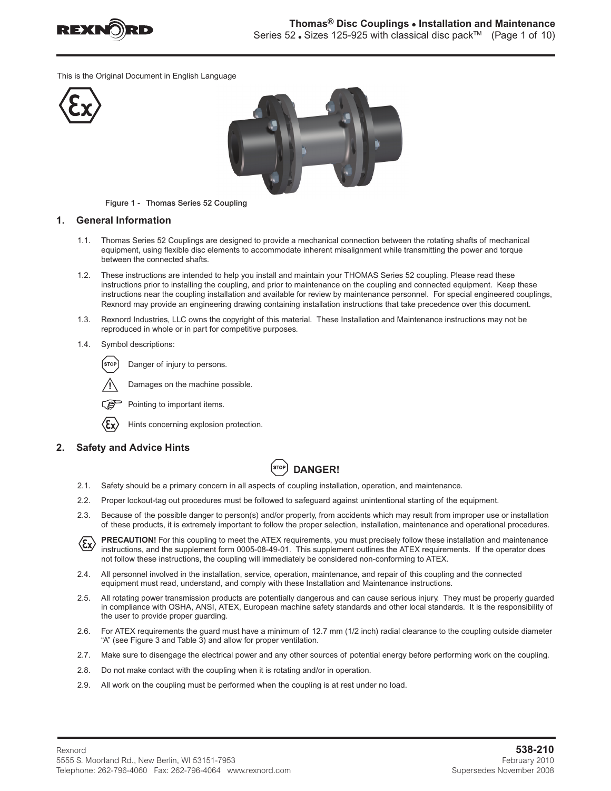

This is the Original Document in English Language





Figure 1 - Thomas Series 52 Coupling

#### **1. General Information**

- 1.1. Thomas Series 52 Couplings are designed to provide a mechanical connection between the rotating shafts of mechanical equipment, using flexible disc elements to accommodate inherent misalignment while transmitting the power and torque between the connected shafts.
- 1.2. These instructions are intended to help you install and maintain your THOMAS Series 52 coupling. Please read these instructions prior to installing the coupling, and prior to maintenance on the coupling and connected equipment. Keep these instructions near the coupling installation and available for review by maintenance personnel. For special engineered couplings, Rexnord may provide an engineering drawing containing installation instructions that take precedence over this document.
- 1.3. Rexnord Industries, LLC owns the copyright of this material. These Installation and Maintenance instructions may not be reproduced in whole or in part for competitive purposes.
- 1.4. Symbol descriptions:

STOI Danger of injury to persons.



Pointing to important items.



Hints concerning explosion protection.

Damages on the machine possible.

# **2. Safety and Advice Hints**

# **DANGER!**

- 2.1. Safety should be a primary concern in all aspects of coupling installation, operation, and maintenance.
- 2.2. Proper lockout-tag out procedures must be followed to safeguard against unintentional starting of the equipment.
- 2.3. Because of the possible danger to person(s) and/or property, from accidents which may result from improper use or installation of these products, it is extremely important to follow the proper selection, installation, maintenance and operational procedures.

**PRECAUTION!** For this coupling to meet the ATEX requirements, you must precisely follow these installation and maintenance  $\langle \epsilon_{\mathsf{x}} \rangle$ instructions, and the supplement form 0005-08-49-01. This supplement outlines the ATEX requirements. If the operator does not follow these instructions, the coupling will immediately be considered non-conforming to ATEX.

- 2.4. All personnel involved in the installation, service, operation, maintenance, and repair of this coupling and the connected equipment must read, understand, and comply with these Installation and Maintenance instructions.
- 2.5. All rotating power transmission products are potentially dangerous and can cause serious injury. They must be properly guarded in compliance with OSHA, ANSI, ATEX, European machine safety standards and other local standards. It is the responsibility of the user to provide proper guarding.
- 2.6. For ATEX requirements the guard must have a minimum of 12.7 mm (1/2 inch) radial clearance to the coupling outside diameter "A" (see Figure 3 and Table 3) and allow for proper ventilation.
- 2.7. Make sure to disengage the electrical power and any other sources of potential energy before performing work on the coupling.
- 2.8. Do not make contact with the coupling when it is rotating and/or in operation.
- 2.9. All work on the coupling must be performed when the coupling is at rest under no load.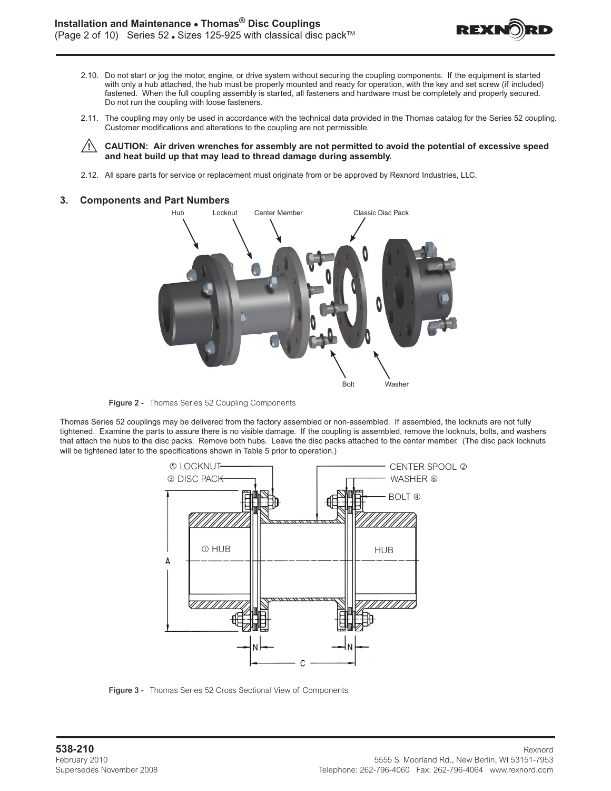

- 2.10. Do not start or jog the motor, engine, or drive system without securing the coupling components. If the equipment is started with only a hub attached, the hub must be properly mounted and ready for operation, with the key and set screw (if included) fastened. When the full coupling assembly is started, all fasteners and hardware must be completely and properly secured. Do not run the coupling with loose fasteners.
- 2.11. The coupling may only be used in accordance with the technical data provided in the Thomas catalog for the Series 52 coupling. Customer modifications and alterations to the coupling are not permissible.

 **CAUTION: Air driven wrenches for assembly are not permitted to avoid the potential of excessive speed and heat build up that may lead to thread damage during assembly.** 

2.12. All spare parts for service or replacement must originate from or be approved by Rexnord Industries, LLC.

#### **3. Components and Part Numbers**



Figure 2 - Thomas Series 52 Coupling Components

Thomas Series 52 couplings may be delivered from the factory assembled or non-assembled. If assembled, the locknuts are not fully tightened. Examine the parts to assure there is no visible damage. If the coupling is assembled, remove the locknuts, bolts, and washers that attach the hubs to the disc packs. Remove both hubs. Leave the disc packs attached to the center member. (The disc pack locknuts will be tightened later to the specifications shown in Table 5 prior to operation.)



Figure 3 - Thomas Series 52 Cross Sectional View of Components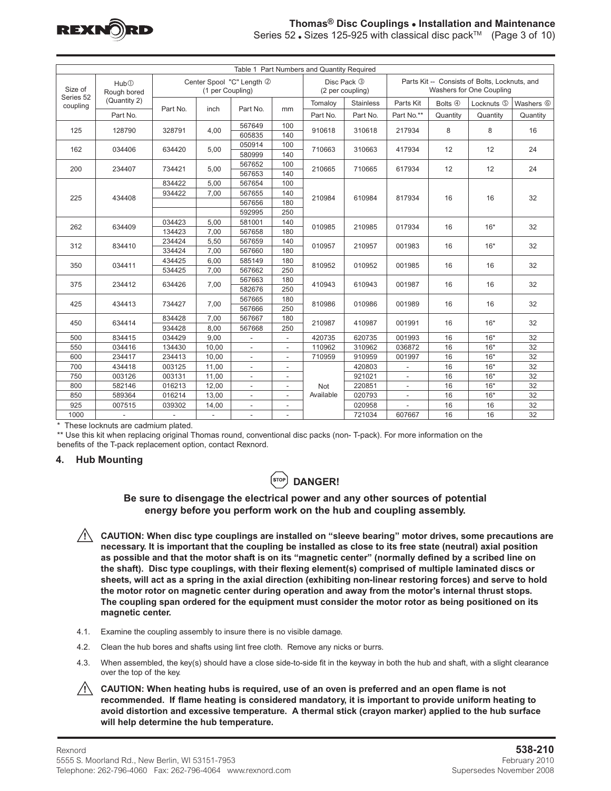

#### **Thomas® Disc Couplings • Installation and Maintenance** Series 52 ⋅ Sizes 125-925 with classical disc pack<sup>™</sup> (Page 3 of 10)

| Table 1 Part Numbers and Quantity Required |                          |          |                  |                           |                          |           |                                 |                |          |                                                                           |                      |
|--------------------------------------------|--------------------------|----------|------------------|---------------------------|--------------------------|-----------|---------------------------------|----------------|----------|---------------------------------------------------------------------------|----------------------|
| Size of<br>Series 52                       | Hub@<br>Rough bored      |          | (1 per Coupling) | Center Spool "C" Length 2 |                          |           | Disc Pack 3<br>(2 per coupling) |                |          | Parts Kit -- Consists of Bolts, Locknuts, and<br>Washers for One Coupling |                      |
| coupling                                   | (Quantity 2)             |          |                  |                           |                          | Tomaloy   | <b>Stainless</b>                | Parts Kit      | Bolts 4  | Locknuts 5                                                                | Washers <sup>6</sup> |
| Part No.                                   |                          | Part No. | inch             | Part No.                  | mm                       | Part No.  | Part No.                        | Part No.**     | Quantity | Quantity                                                                  | Quantity             |
|                                            | 128790<br>125            |          | 4,00             | 567649                    | 100                      | 910618    | 310618                          | 217934         | 8        | 8                                                                         | 16                   |
|                                            |                          | 328791   |                  | 605835                    | 140                      |           |                                 |                |          |                                                                           |                      |
| 162<br>034406                              |                          | 634420   | 5,00             | 050914                    | 100                      | 710663    | 310663                          | 417934         | 12       | 12                                                                        | 24                   |
|                                            |                          |          |                  | 580999                    | 140                      |           |                                 |                |          |                                                                           |                      |
| 200                                        | 234407                   | 734421   | 5,00             | 567652                    | 100                      | 210665    | 710665                          | 617934         | 12       | 12                                                                        | 24                   |
|                                            |                          |          |                  | 567653                    | 140                      |           |                                 |                |          |                                                                           |                      |
|                                            |                          | 834422   | 5,00             | 567654                    | 100                      |           | 610984                          |                |          |                                                                           |                      |
| 225                                        | 434408                   | 934422   | 7,00             | 567655                    | 140                      | 210984    |                                 | 817934         | 16       | 16                                                                        | 32                   |
|                                            |                          |          |                  | 567656                    | 180                      |           |                                 |                |          |                                                                           |                      |
|                                            |                          |          |                  | 592995                    | 250                      |           |                                 |                |          |                                                                           |                      |
| 262                                        | 634409                   | 034423   | 5,00             | 581001                    | 140                      | 010985    | 210985                          | 017934         | 16       | $16*$                                                                     | 32                   |
|                                            |                          | 134423   | 7.00             | 567658                    | 180                      |           |                                 |                |          |                                                                           |                      |
| 312                                        | 834410                   | 234424   | 5,50             | 567659                    | 140                      | 010957    | 210957                          | 001983         | 16       | $16*$                                                                     | 32                   |
|                                            |                          | 334424   | 7.00             | 567660                    | 180                      |           |                                 |                |          |                                                                           |                      |
| 350                                        | 034411                   | 434425   | 6,00             | 585149                    | 180                      | 810952    | 010952                          | 001985         | 16       | 16                                                                        | 32                   |
|                                            |                          | 534425   | 7,00             | 567662                    | 250                      |           |                                 |                |          |                                                                           |                      |
| 375                                        | 234412                   | 634426   | 7,00             | 567663                    | 180                      | 410943    | 610943                          | 001987         | 16       | 16                                                                        | 32                   |
|                                            |                          |          |                  | 582676                    | 250                      |           |                                 |                |          |                                                                           |                      |
| 425                                        | 434413                   | 734427   |                  | 567665                    | 180                      |           |                                 | 001989         | 16       | 16                                                                        | 32                   |
|                                            |                          |          | 7,00             | 567666                    | 250                      | 810986    | 010986                          |                |          |                                                                           |                      |
| 450                                        | 634414                   | 834428   | 7,00             | 567667                    | 180                      | 210987    | 410987                          | 001991         | 16       | $16*$                                                                     | 32                   |
|                                            |                          | 934428   | 8.00             | 567668                    | 250                      |           |                                 |                |          |                                                                           |                      |
| 500                                        | 834415                   | 034429   | 9,00             | ÷,                        |                          | 420735    | 620735                          | 001993         | 16       | $16*$                                                                     | 32                   |
| 550                                        | 034416                   | 134430   | 10,00            | $\sim$                    | $\blacksquare$           | 110962    | 310962                          | 036872         | 16       | $16*$                                                                     | 32                   |
| 600                                        | 234417                   | 234413   | 10,00            | $\overline{\phantom{a}}$  | $\overline{\phantom{a}}$ | 710959    | 910959                          | 001997         | 16       | $16*$                                                                     | 32                   |
| 700                                        | 434418                   | 003125   | 11,00            | $\overline{\phantom{a}}$  | $\overline{\phantom{a}}$ |           | 420803                          |                | 16       | $16*$                                                                     | 32                   |
| 750                                        | 003126                   | 003131   | 11,00            | $\sim$                    | $\blacksquare$           |           | 921021                          | $\blacksquare$ | 16       | $16*$                                                                     | 32                   |
| 800                                        | 582146                   | 016213   | 12,00            | ÷,                        | $\overline{\phantom{a}}$ | Not       | 220851                          | $\blacksquare$ | 16       | $16*$                                                                     | 32                   |
| 850                                        | 589364                   | 016214   | 13,00            | $\overline{\phantom{a}}$  | ÷                        | Available | 020793                          | $\blacksquare$ | 16       | $16*$                                                                     | 32                   |
| 925                                        | 007515                   | 039302   | 14,00            | ÷,                        | $\blacksquare$           |           | 020958                          |                | 16       | 16                                                                        | 32                   |
| 1000                                       | $\overline{\phantom{a}}$ |          | $\sim$           | $\overline{a}$            | $\overline{a}$           | 721034    |                                 | 607667         | 16       | 16                                                                        | 32                   |

\* These locknuts are cadmium plated.

\*\* Use this kit when replacing original Thomas round, conventional disc packs (non- T-pack). For more information on the benefits of the T-pack replacement option, contact Rexnord.

# **4. Hub Mounting**



# **Be sure to disengage the electrical power and any other sources of potential energy before you perform work on the hub and coupling assembly.**

- **CAUTION: When disc type couplings are installed on "sleeve bearing" motor drives, some precautions are necessary. It is important that the coupling be installed as close to its free state (neutral) axial position as possible and that the motor shaft is on its "magnetic center" (normally defined by a scribed line on the shaft). Disc type couplings, with their flexing element(s) comprised of multiple laminated discs or sheets, will act as a spring in the axial direction (exhibiting non-linear restoring forces) and serve to hold the motor rotor on magnetic center during operation and away from the motor's internal thrust stops. The coupling span ordered for the equipment must consider the motor rotor as being positioned on its magnetic center.**
- 4.1. Examine the coupling assembly to insure there is no visible damage.
- 4.2. Clean the hub bores and shafts using lint free cloth. Remove any nicks or burrs.
- 4.3. When assembled, the key(s) should have a close side-to-side fit in the keyway in both the hub and shaft, with a slight clearance over the top of the key.
- **CAUTION: When heating hubs is required, use of an oven is preferred and an open flame is not recommended. If flame heating is considered mandatory, it is important to provide uniform heating to avoid distortion and excessive temperature. A thermal stick (crayon marker) applied to the hub surface will help determine the hub temperature.**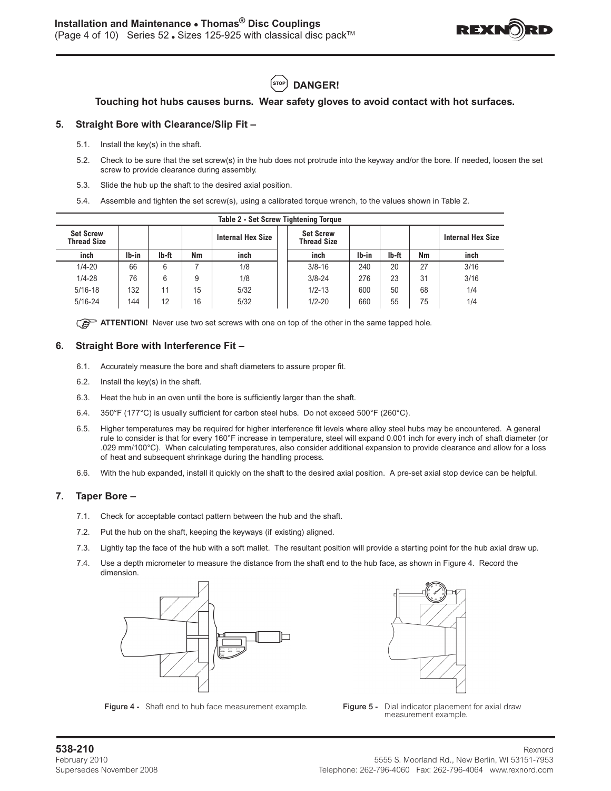

(stop  **DANGER!**

# **Touching hot hubs causes burns. Wear safety gloves to avoid contact with hot surfaces.**

# **5. Straight Bore with Clearance/Slip Fit –**

- 5.1. Install the key(s) in the shaft.
- 5.2. Check to be sure that the set screw(s) in the hub does not protrude into the keyway and/or the bore. If needed, loosen the set screw to provide clearance during assembly.
- 5.3. Slide the hub up the shaft to the desired axial position.
- 5.4. Assemble and tighten the set screw(s), using a calibrated torque wrench, to the values shown in Table 2.

| <b>Table 2 - Set Screw Tightening Torque</b> |       |                                                                    |    |      |            |       |       |    |                          |  |  |
|----------------------------------------------|-------|--------------------------------------------------------------------|----|------|------------|-------|-------|----|--------------------------|--|--|
| <b>Set Screw</b><br><b>Thread Size</b>       |       | <b>Set Screw</b><br><b>Internal Hex Size</b><br><b>Thread Size</b> |    |      |            |       |       |    | <b>Internal Hex Size</b> |  |  |
| inch                                         | Ib-in | Ib-ft                                                              | Nm | inch | inch       | Ib-in | Ib-ft | Nm | inch                     |  |  |
| $1/4 - 20$                                   | 66    | 6                                                                  |    | 1/8  | $3/8 - 16$ | 240   | 20    | 27 | 3/16                     |  |  |
| $1/4 - 28$                                   | 76    | 6                                                                  | 9  | 1/8  | $3/8 - 24$ | 276   | 23    | 31 | 3/16                     |  |  |
| $5/16 - 18$                                  | 132   | 11                                                                 | 15 | 5/32 | $1/2 - 13$ | 600   | 50    | 68 | 1/4                      |  |  |
| $5/16 - 24$                                  | 144   | 12                                                                 | 16 | 5/32 | $1/2 - 20$ | 660   | 55    | 75 | 1/4                      |  |  |

**ATTENTION!** Never use two set screws with one on top of the other in the same tapped hole.

#### **6. Straight Bore with Interference Fit –**

- 6.1. Accurately measure the bore and shaft diameters to assure proper fit.
- 6.2. Install the key(s) in the shaft.
- 6.3. Heat the hub in an oven until the bore is sufficiently larger than the shaft.
- 6.4. 350°F (177°C) is usually sufficient for carbon steel hubs. Do not exceed 500°F (260°C).
- 6.5. Higher temperatures may be required for higher interference fit levels where alloy steel hubs may be encountered. A general rule to consider is that for every 160°F increase in temperature, steel will expand 0.001 inch for every inch of shaft diameter (or .029 mm/100°C). When calculating temperatures, also consider additional expansion to provide clearance and allow for a loss of heat and subsequent shrinkage during the handling process.
- 6.6. With the hub expanded, install it quickly on the shaft to the desired axial position. A pre-set axial stop device can be helpful.

#### **7. Taper Bore –**

- 7.1. Check for acceptable contact pattern between the hub and the shaft.
- 7.2. Put the hub on the shaft, keeping the keyways (if existing) aligned.
- 7.3. Lightly tap the face of the hub with a soft mallet. The resultant position will provide a starting point for the hub axial draw up.
- 7.4. Use a depth micrometer to measure the distance from the shaft end to the hub face, as shown in Figure 4. Record the dimension.



Figure 4 - Shaft end to hub face measurement example. Figure 5 - Dial indicator placement for axial draw



measurement example.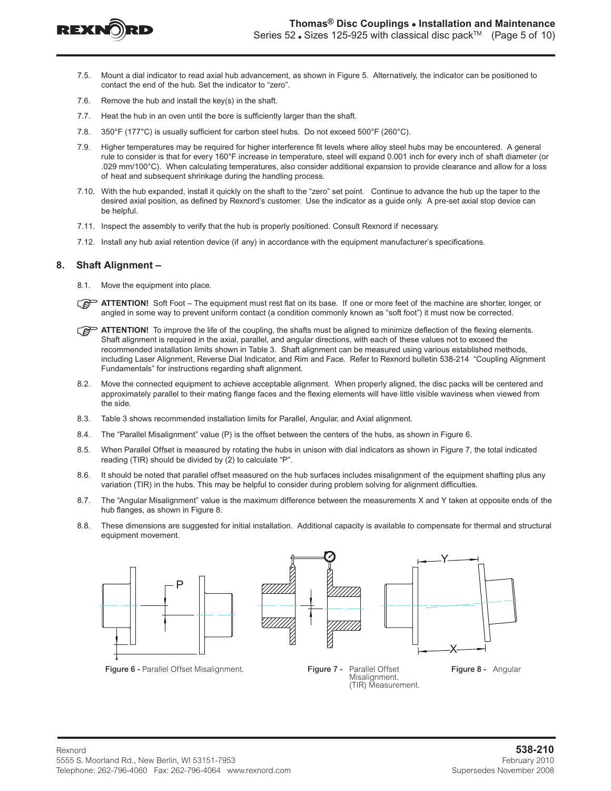

- 7.5. Mount a dial indicator to read axial hub advancement, as shown in Figure 5. Alternatively, the indicator can be positioned to contact the end of the hub. Set the indicator to "zero".
- 7.6. Remove the hub and install the key(s) in the shaft.
- 7.7. Heat the hub in an oven until the bore is sufficiently larger than the shaft.
- 7.8. 350°F (177°C) is usually sufficient for carbon steel hubs. Do not exceed 500°F (260°C).
- 7.9. Higher temperatures may be required for higher interference fit levels where alloy steel hubs may be encountered. A general rule to consider is that for every 160°F increase in temperature, steel will expand 0.001 inch for every inch of shaft diameter (or .029 mm/100°C). When calculating temperatures, also consider additional expansion to provide clearance and allow for a loss of heat and subsequent shrinkage during the handling process.
- 7.10. With the hub expanded, install it quickly on the shaft to the "zero" set point. Continue to advance the hub up the taper to the desired axial position, as defined by Rexnord's customer. Use the indicator as a guide only. A pre-set axial stop device can be helpful.
- 7.11. Inspect the assembly to verify that the hub is properly positioned. Consult Rexnord if necessary.
- 7.12. Install any hub axial retention device (if any) in accordance with the equipment manufacturer's specifications.

#### **8. Shaft Alignment –**

- 8.1. Move the equipment into place.
- **ATTENTION!** Soft Foot The equipment must rest flat on its base. If one or more feet of the machine are shorter, longer, or angled in some way to prevent uniform contact (a condition commonly known as "soft foot") it must now be corrected.
- **ATTENTION!** To improve the life of the coupling, the shafts must be aligned to minimize deflection of the flexing elements. Shaft alignment is required in the axial, parallel, and angular directions, with each of these values not to exceed the recommended installation limits shown in Table 3. Shaft alignment can be measured using various established methods, including Laser Alignment, Reverse Dial Indicator, and Rim and Face. Refer to Rexnord bulletin 538-214 "Coupling Alignment Fundamentals" for instructions regarding shaft alignment.
- 8.2. Move the connected equipment to achieve acceptable alignment. When properly aligned, the disc packs will be centered and approximately parallel to their mating flange faces and the flexing elements will have little visible waviness when viewed from the side.
- 8.3. Table 3 shows recommended installation limits for Parallel, Angular, and Axial alignment.
- 8.4. The "Parallel Misalignment" value (P) is the offset between the centers of the hubs, as shown in Figure 6.
- 8.5. When Parallel Offset is measured by rotating the hubs in unison with dial indicators as shown in Figure 7, the total indicated reading (TIR) should be divided by (2) to calculate "P".
- 8.6. It should be noted that parallel offset measured on the hub surfaces includes misalignment of the equipment shafting plus any variation (TIR) in the hubs. This may be helpful to consider during problem solving for alignment difficulties.
- 8.7. The "Angular Misalignment" value is the maximum difference between the measurements X and Y taken at opposite ends of the hub flanges, as shown in Figure 8.
- 8.8. These dimensions are suggested for initial installation. Additional capacity is available to compensate for thermal and structural equipment movement.



Figure 6 - Parallel Offset Misalignment. **Figure 7 - Parallel Offset** Figure 8 - Angular





Misalignment. (TIR) Measurement.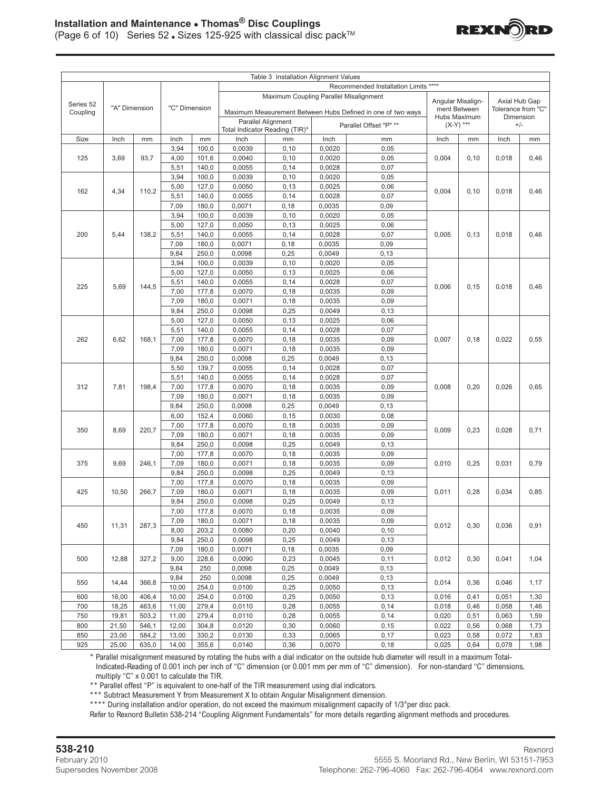

|                           |       |       |               |                                              |                                        | Table 3 Installation Alignment Values                       |                  |                                      |            |                              |                |                                 |  |  |
|---------------------------|-------|-------|---------------|----------------------------------------------|----------------------------------------|-------------------------------------------------------------|------------------|--------------------------------------|------------|------------------------------|----------------|---------------------------------|--|--|
|                           |       |       |               |                                              |                                        |                                                             |                  | Recommended Installation Limits **** |            |                              |                |                                 |  |  |
|                           |       |       |               |                                              | Maximum Coupling Parallel Misalignment |                                                             |                  |                                      |            |                              |                |                                 |  |  |
| Series 52                 |       |       |               |                                              |                                        |                                                             |                  |                                      |            | Angular Misalign-            | Axial Hub Gap  |                                 |  |  |
| "A" Dimension<br>Coupling |       |       | "C" Dimension |                                              |                                        | Maximum Measurement Between Hubs Defined in one of two ways |                  |                                      |            | ment Between<br>Hubs Maximum |                | Tolerance from "C"<br>Dimension |  |  |
|                           |       |       |               | Parallel Alignment<br>Parallel Offset "P" ** |                                        |                                                             |                  | $(X-Y)$ ***                          |            | $+/-$                        |                |                                 |  |  |
|                           |       |       |               |                                              |                                        | Total Indicator Reading (TIR)*                              |                  |                                      |            |                              |                |                                 |  |  |
| Size                      | Inch  | mm    | Inch          | mm                                           | Inch                                   | mm                                                          | Inch             | mm                                   | Inch<br>mm |                              | Inch           | mm                              |  |  |
|                           |       |       | 3,94          | 100,0                                        | 0,0039                                 | 0, 10                                                       | 0,0020           | 0,05                                 |            |                              |                |                                 |  |  |
| 125<br>3,69               |       | 93,7  | 4,00          | 101,6                                        | 0,0040                                 | 0, 10                                                       | 0,0020           | 0,05                                 | 0,004      | 0, 10                        | 0,018          | 0,46                            |  |  |
|                           |       |       | 5,51          | 140,0                                        | 0,0055                                 | 0,14                                                        | 0,0028           | 0,07                                 |            |                              |                |                                 |  |  |
|                           |       |       | 3,94          | 100,0                                        | 0,0039                                 | 0,10                                                        | 0,0020           | 0,05                                 |            |                              |                |                                 |  |  |
| 162<br>4,34               |       | 110.2 | 5,00          | 127,0                                        | 0,0050                                 | 0,13                                                        | 0,0025           | 0,06                                 | 0.004      | 0.10                         | 0,018          | 0,46                            |  |  |
|                           |       |       | 5,51          | 140,0                                        | 0.0055                                 | 0,14                                                        | 0,0028           | 0,07                                 |            |                              |                |                                 |  |  |
|                           |       |       | 7,09          | 180,0                                        | 0,0071                                 | 0, 18                                                       | 0,0035           | 0,09                                 |            |                              |                |                                 |  |  |
|                           |       |       | 3,94          | 100,0                                        | 0,0039                                 | 0,10                                                        | 0,0020           | 0,05                                 |            |                              |                |                                 |  |  |
|                           |       |       | 5,00          | 127,0                                        | 0,0050                                 | 0, 13                                                       | 0,0025           | 0,06                                 |            |                              |                |                                 |  |  |
| 200                       | 5,44  | 138,2 | 5,51          | 140,0                                        | 0,0055                                 | 0,14                                                        | 0,0028           | 0,07                                 | 0,005      | 0,13                         | 0,018          | 0,46                            |  |  |
|                           |       |       | 7,09          | 180,0                                        | 0,0071                                 | 0, 18                                                       | 0,0035           | 0,09                                 |            |                              |                |                                 |  |  |
|                           |       |       | 9,84          | 250,0                                        | 0,0098                                 | 0,25                                                        | 0,0049           | 0, 13                                |            |                              |                |                                 |  |  |
|                           |       |       | 3,94          | 100,0                                        | 0,0039                                 | 0, 10                                                       | 0,0020           | 0,05                                 |            |                              |                |                                 |  |  |
|                           |       |       | 5,00          | 127,0                                        | 0,0050                                 | 0, 13                                                       | 0,0025           | 0,06                                 |            |                              |                |                                 |  |  |
|                           |       |       | 5,51          | 140,0                                        | 0.0055                                 | 0,14                                                        | 0,0028           | 0,07                                 |            | 0, 15                        |                |                                 |  |  |
| 225                       | 5,69  | 144,5 | 7,00          | 177,8                                        | 0,0070                                 | 0,18                                                        | 0,0035           | 0,09                                 | 0,006      |                              | 0,018          | 0,46                            |  |  |
|                           |       |       | 7,09          | 180,0                                        | 0,0071                                 | 0,18                                                        | 0,0035           | 0,09                                 |            |                              |                |                                 |  |  |
|                           |       |       | 9,84          | 250,0                                        | 0,0098                                 | 0,25                                                        | 0,0049           | 0, 13                                |            |                              |                |                                 |  |  |
|                           |       |       | 5,00          | 127,0                                        | 0,0050                                 | 0,13                                                        | 0,0025           | 0,06                                 |            |                              |                |                                 |  |  |
|                           |       | 168,1 | 5,51          | 140,0                                        | 0,0055                                 | 0,14                                                        | 0,0028           | 0,07                                 | 0,007      |                              |                |                                 |  |  |
| 262<br>6,62               |       |       | 7,00          | 177,8                                        | 0,0070                                 | 0,18                                                        | 0,0035           | 0,09                                 |            | 0,18                         | 0,022<br>0,026 | 0,55                            |  |  |
|                           |       |       | 7,09          | 180,0                                        | 0,0071                                 | 0,18                                                        | 0,0035           | 0,09                                 |            |                              |                |                                 |  |  |
|                           |       |       | 9,84          | 250,0                                        | 0,0098                                 | 0,25                                                        | 0,0049           | 0,13                                 |            |                              |                |                                 |  |  |
|                           |       |       | 5,50          | 139,7                                        | 0,0055                                 | 0,14                                                        | 0,0028           | 0,07                                 |            |                              |                |                                 |  |  |
|                           |       | 198,4 | 5,51          | 140,0                                        | 0,0055                                 | 0,14                                                        | 0,0028           | 0,07                                 | 0,008      |                              |                |                                 |  |  |
| 312                       | 7,81  |       | 7,00          | 177,8                                        | 0,0070                                 | 0,18                                                        | 0,0035           | 0,09                                 |            | 0,20                         |                | 0,65                            |  |  |
|                           |       |       | 7,09          | 180,0                                        | 0,0071                                 | 0,18                                                        | 0,0035           | 0,09                                 |            |                              |                |                                 |  |  |
|                           |       |       | 9,84          | 250,0                                        | 0,0098                                 | 0,25                                                        | 0,0049           | 0, 13                                |            |                              |                |                                 |  |  |
|                           |       |       | 6,00          | 152,4                                        | 0,0060                                 | 0, 15                                                       | 0,0030           | 0,08                                 |            |                              |                |                                 |  |  |
|                           |       | 220,7 | 7,00          | 177,8                                        | 0,0070                                 | 0,18                                                        | 0,0035           | 0,09                                 |            |                              |                | 0,71                            |  |  |
| 350                       | 8,69  |       | 7,09          | 180,0                                        | 0,0071                                 | 0,18                                                        | 0,0035           | 0,09                                 | 0,009      | 0,23                         | 0,028          |                                 |  |  |
|                           |       |       | 9,84          | 250,0                                        | 0,0098                                 | 0,25                                                        | 0,0049           | 0,13                                 |            |                              |                |                                 |  |  |
|                           |       |       | 7,00          | 177,8                                        | 0,0070                                 | 0,18                                                        | 0,0035           | 0,09                                 |            |                              |                |                                 |  |  |
| 375                       | 9,69  | 246,1 | 7,09          | 180,0                                        | 0,0071                                 | 0,18                                                        | 0,0035           | 0,09                                 | 0,010      | 0,25                         | 0,031          | 0,79                            |  |  |
|                           |       |       | 9,84          | 250,0                                        | 0,0098                                 | 0,25                                                        | 0,0049           | 0,13                                 |            |                              |                |                                 |  |  |
|                           |       |       | 7,00          | 177,8                                        | 0,0070                                 | 0,18                                                        | 0,0035           | 0,09                                 |            |                              |                |                                 |  |  |
| 425                       | 10,50 | 266,7 | 7,09          | 180,0                                        | 0,0071                                 | 0,18                                                        | 0,0035           | 0,09                                 | 0,011      | 0,28                         | 0,034          | 0,85                            |  |  |
|                           |       |       | 9,84          | 250,0                                        | 0,0098                                 | 0,25                                                        | 0,0049           | 0,13                                 |            |                              |                |                                 |  |  |
|                           |       |       | 7,00          | 177,8                                        | 0,0070                                 | 0,18                                                        | 0,0035           | 0,09                                 |            |                              |                |                                 |  |  |
|                           |       |       | 7,09          | 180,0                                        | 0,0071                                 | 0, 18                                                       | 0,0035           | 0,09                                 |            |                              |                |                                 |  |  |
| 450                       | 11,31 | 287,3 | 8,00          | 203,2                                        | 0,0080                                 | 0,20                                                        | 0,0040           | 0, 10                                | 0,012      | 0,30                         | 0,036          | 0,91                            |  |  |
|                           |       |       |               |                                              |                                        | 0,25                                                        |                  | 0, 13                                |            |                              |                |                                 |  |  |
|                           |       |       | 9,84          | 250,0                                        | 0,0098                                 |                                                             | 0,0049           |                                      |            |                              |                |                                 |  |  |
|                           |       |       | 7,09          | 180,0                                        | 0,0071                                 | 0,18                                                        | 0,0035<br>0,0045 | 0,09                                 |            |                              |                |                                 |  |  |
| 500                       | 12,88 | 327,2 | 9,00          | 228,6                                        | 0,0090                                 | 0,23                                                        |                  | 0,11                                 | 0,012      | 0,30                         | 0,041          | 1,04                            |  |  |
|                           |       |       | 9,84          | 250                                          | 0,0098                                 | 0,25                                                        | 0,0049           | 0,13                                 |            |                              |                |                                 |  |  |
| 550                       | 14,44 | 366,8 | 9,84          | 250                                          | 0,0098                                 | 0,25                                                        | 0,0049           | 0,13                                 | 0,014      | 0,36                         | 0,046          | 1,17                            |  |  |
|                           |       |       | 10,00         | 254,0                                        | 0,0100                                 | 0,25                                                        | 0,0050           | 0, 13                                |            |                              |                |                                 |  |  |
| 600                       | 16,00 | 406,4 | 10,00         | 254,0                                        | 0,0100                                 | 0,25                                                        | 0,0050           | 0,13                                 | 0,016      | 0,41                         | 0,051          | 1,30                            |  |  |
| 700                       | 18,25 | 463,6 | 11,00         | 279,4                                        | 0,0110                                 | 0,28                                                        | 0,0055           | 0,14                                 | 0,018      | 0,46                         | 0,058          | 1,46                            |  |  |
| 750                       | 19,81 | 503,2 | 11,00         | 279,4                                        | 0,0110                                 | 0,28                                                        | 0,0055           | 0,14                                 | 0,020      | 0,51                         | 0,063          | 1,59                            |  |  |
| 800                       | 21,50 | 546,1 | 12,00         | 304,8                                        | 0,0120                                 | 0,30                                                        | 0,0060<br>0,0065 | 0, 15                                | 0,022      | 0,56                         | 0,068          | 1,73                            |  |  |
| 850                       | 23,00 | 584,2 | 13,00         | 330,2                                        | 0,0130                                 | 0,33                                                        |                  | 0,17                                 | 0,023      | 0,58                         | 0,072          | 1,83                            |  |  |
| 925                       | 25,00 | 635,0 | 14,00         | 355,6                                        | 0,0140                                 | 0,36                                                        | 0,0070           | 0,18                                 | 0,025      | 0,64                         | 0,078          | 1,98                            |  |  |

\* Parallel misalignment measured by rotating the hubs with a dial indicator on the outside hub diameter will result in a maximum Total-Indicated-Reading of 0.001 inch per inch of "C" dimension (or 0.001 mm per mm of "C" dimension). For non-standard "C" dimensions, multiply "C" x 0.001 to calculate the TIR.

\*\* Parallel offest "P" is equivalent to one-half of the TIR measurement using dial indicators.

\*\*\* Subtract Measurement Y from Measurement X to obtain Angular Misalignment dimension.

\*\*\*\* During installation and/or operation, do not exceed the maximum misalignment capacity of 1/3°per disc pack.

Refer to Rexnord Bulletin 538-214 "Coupling Alignment Fundamentals" for more details regarding alignment methods and procedures.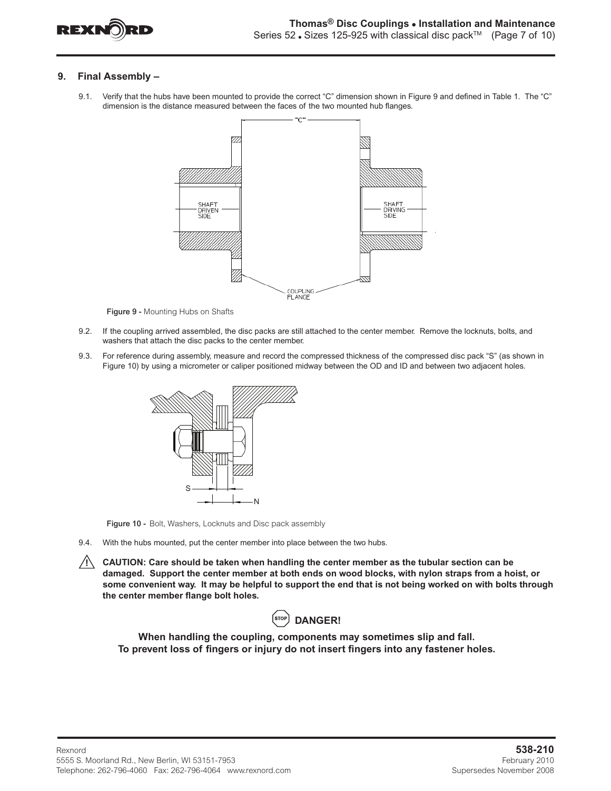

# **9. Final Assembly –**

9.1. Verify that the hubs have been mounted to provide the correct "C" dimension shown in Figure 9 and defined in Table 1. The "C" dimension is the distance measured between the faces of the two mounted hub flanges.



Figure 9 - Mounting Hubs on Shafts

- 9.2. If the coupling arrived assembled, the disc packs are still attached to the center member. Remove the locknuts, bolts, and washers that attach the disc packs to the center member.
- 9.3. For reference during assembly, measure and record the compressed thickness of the compressed disc pack "S" (as shown in Figure 10) by using a micrometer or caliper positioned midway between the OD and ID and between two adjacent holes.



Figure 10 - Bolt, Washers, Locknuts and Disc pack assembly

- 9.4. With the hubs mounted, put the center member into place between the two hubs.
- **CAUTION: Care should be taken when handling the center member as the tubular section can be damaged. Support the center member at both ends on wood blocks, with nylon straps from a hoist, or some convenient way. It may be helpful to support the end that is not being worked on with bolts through the center member flange bolt holes.**



**When handling the coupling, components may sometimes slip and fall. To prevent loss of fingers or injury do not insert fingers into any fastener holes.**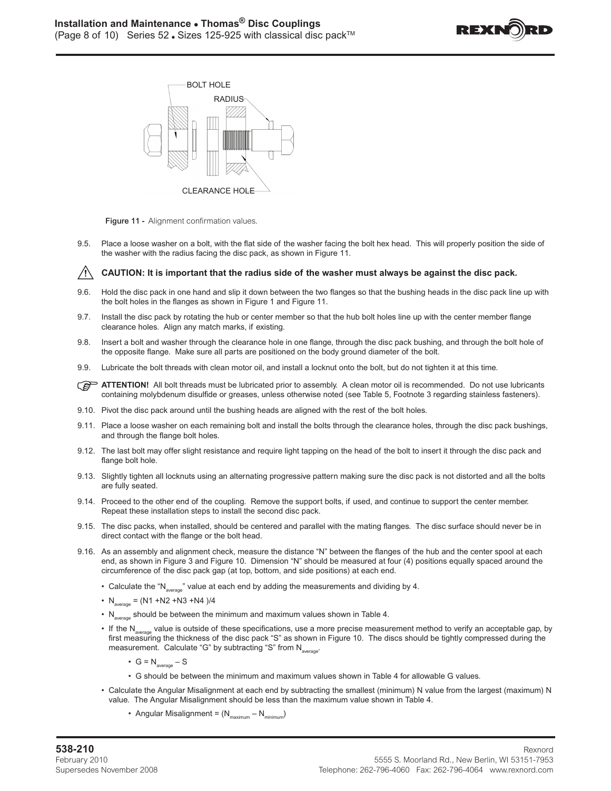





9.5. Place a loose washer on a bolt, with the flat side of the washer facing the bolt hex head. This will properly position the side of the washer with the radius facing the disc pack, as shown in Figure 11.

#### $\sqrt{N}$  **CAUTION: It is important that the radius side of the washer must always be against the disc pack.**

- 9.6. Hold the disc pack in one hand and slip it down between the two flanges so that the bushing heads in the disc pack line up with the bolt holes in the flanges as shown in Figure 1 and Figure 11.
- 9.7. Install the disc pack by rotating the hub or center member so that the hub bolt holes line up with the center member flange clearance holes. Align any match marks, if existing.
- 9.8. Insert a bolt and washer through the clearance hole in one flange, through the disc pack bushing, and through the bolt hole of the opposite flange. Make sure all parts are positioned on the body ground diameter of the bolt.
- 9.9. Lubricate the bolt threads with clean motor oil, and install a locknut onto the bolt, but do not tighten it at this time.
- **ATTENTION!** All bolt threads must be lubricated prior to assembly. A clean motor oil is recommended. Do not use lubricants containing molybdenum disulfide or greases, unless otherwise noted (see Table 5, Footnote 3 regarding stainless fasteners).
- 9.10. Pivot the disc pack around until the bushing heads are aligned with the rest of the bolt holes.
- 9.11. Place a loose washer on each remaining bolt and install the bolts through the clearance holes, through the disc pack bushings, and through the flange bolt holes.
- 9.12. The last bolt may offer slight resistance and require light tapping on the head of the bolt to insert it through the disc pack and flange bolt hole.
- 9.13. Slightly tighten all locknuts using an alternating progressive pattern making sure the disc pack is not distorted and all the bolts are fully seated.
- 9.14. Proceed to the other end of the coupling. Remove the support bolts, if used, and continue to support the center member. Repeat these installation steps to install the second disc pack.
- 9.15. The disc packs, when installed, should be centered and parallel with the mating flanges. The disc surface should never be in direct contact with the flange or the bolt head.
- 9.16. As an assembly and alignment check, measure the distance "N" between the flanges of the hub and the center spool at each end, as shown in Figure 3 and Figure 10. Dimension "N" should be measured at four (4) positions equally spaced around the circumference of the disc pack gap (at top, bottom, and side positions) at each end.
	- Calculate the "N<sub>average</sub>" value at each end by adding the measurements and dividing by 4.
	- $N_{average} = (N1 + N2 + N3 + N4) / 4$
	- $N_{\text{average}}$  should be between the minimum and maximum values shown in Table 4.
	- If the N<sub>averang</sub> value is outside of these specifications, use a more precise measurement method to verify an acceptable gap, by first measuring the thickness of the disc pack "S" as shown in Figure 10. The discs should be tightly compressed during the measurement. Calculate "G" by subtracting "S" from N<sub>average</sub>.
		- $G = N_{average} S$
		- G should be between the minimum and maximum values shown in Table 4 for allowable G values.
	- Calculate the Angular Misalignment at each end by subtracting the smallest (minimum) N value from the largest (maximum) N value. The Angular Misalignment should be less than the maximum value shown in Table 4.
		- Angular Misalignment =  $(N_{maximum} N_{minimum})$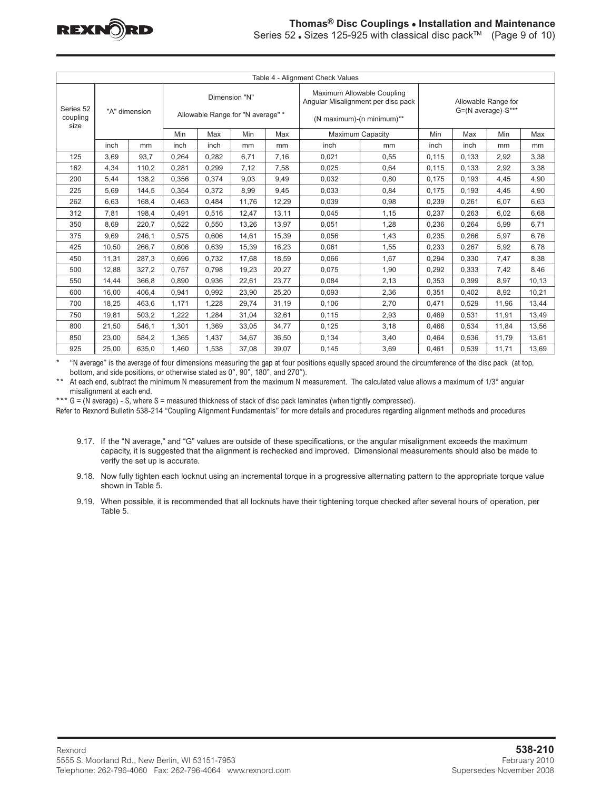

| Series 52 . Sizes 125-925 with classical disc pack™ (Page 9 of 10) |
|--------------------------------------------------------------------|
|                                                                    |

| Table 4 - Alignment Check Values |                       |       |       |                                                    |       |       |                                                                                               |                                           |       |       |       |       |
|----------------------------------|-----------------------|-------|-------|----------------------------------------------------|-------|-------|-----------------------------------------------------------------------------------------------|-------------------------------------------|-------|-------|-------|-------|
| Series 52<br>coupling            | "A" dimension<br>size |       |       | Dimension "N"<br>Allowable Range for "N average" * |       |       | Maximum Allowable Coupling<br>Angular Misalignment per disc pack<br>(N maximum)-(n minimum)** | Allowable Range for<br>G=(N average)-S*** |       |       |       |       |
|                                  |                       |       | Min   | Max                                                | Min   | Max   | <b>Maximum Capacity</b>                                                                       | Min                                       | Max   | Min   | Max   |       |
|                                  | inch                  | mm    | inch  | inch                                               | mm    | mm    | inch                                                                                          | mm                                        | inch  | inch  | mm    | mm    |
| 125                              | 3,69                  | 93.7  | 0,264 | 0.282                                              | 6,71  | 7,16  | 0,021                                                                                         | 0,55                                      | 0,115 | 0.133 | 2,92  | 3,38  |
| 162                              | 4,34                  | 110.2 | 0,281 | 0.299                                              | 7,12  | 7,58  | 0,025                                                                                         | 0.64                                      | 0,115 | 0,133 | 2,92  | 3,38  |
| 200                              | 5,44                  | 138.2 | 0,356 | 0.374                                              | 9,03  | 9,49  | 0,032                                                                                         | 0,80                                      | 0,175 | 0,193 | 4,45  | 4,90  |
| 225                              | 5.69                  | 144.5 | 0.354 | 0.372                                              | 8,99  | 9,45  | 0.033                                                                                         | 0.84                                      | 0,175 | 0.193 | 4,45  | 4,90  |
| 262                              | 6,63                  | 168,4 | 0,463 | 0.484                                              | 11,76 | 12,29 | 0,039                                                                                         | 0,98                                      | 0,239 | 0,261 | 6,07  | 6,63  |
| 312                              | 7,81                  | 198,4 | 0,491 | 0,516                                              | 12,47 | 13,11 | 0,045                                                                                         | 1,15                                      | 0,237 | 0,263 | 6,02  | 6,68  |
| 350                              | 8,69                  | 220,7 | 0,522 | 0.550                                              | 13,26 | 13,97 | 0,051                                                                                         | 1,28                                      | 0,236 | 0.264 | 5,99  | 6,71  |
| 375                              | 9.69                  | 246.1 | 0.575 | 0.606                                              | 14,61 | 15.39 | 0,056                                                                                         | 1,43                                      | 0,235 | 0.266 | 5,97  | 6.76  |
| 425                              | 10,50                 | 266,7 | 0,606 | 0,639                                              | 15,39 | 16,23 | 0,061                                                                                         | 1,55                                      | 0,233 | 0,267 | 5,92  | 6,78  |
| 450                              | 11.31                 | 287.3 | 0.696 | 0.732                                              | 17,68 | 18,59 | 0,066                                                                                         | 1,67                                      | 0,294 | 0.330 | 7,47  | 8,38  |
| 500                              | 12,88                 | 327,2 | 0,757 | 0,798                                              | 19,23 | 20,27 | 0,075                                                                                         | 1,90                                      | 0,292 | 0,333 | 7,42  | 8,46  |
| 550                              | 14,44                 | 366.8 | 0.890 | 0.936                                              | 22,61 | 23,77 | 0,084                                                                                         | 2,13                                      | 0,353 | 0.399 | 8,97  | 10,13 |
| 600                              | 16.00                 | 406.4 | 0,941 | 0.992                                              | 23,90 | 25,20 | 0,093                                                                                         | 2,36                                      | 0,351 | 0.402 | 8,92  | 10,21 |
| 700                              | 18,25                 | 463,6 | 1,171 | 1,228                                              | 29,74 | 31,19 | 0,106                                                                                         | 2,70                                      | 0,471 | 0,529 | 11,96 | 13,44 |
| 750                              | 19,81                 | 503,2 | 1,222 | 1,284                                              | 31,04 | 32,61 | 0,115                                                                                         | 2,93                                      | 0,469 | 0,531 | 11,91 | 13,49 |
| 800                              | 21,50                 | 546,1 | 1,301 | 1.369                                              | 33,05 | 34.77 | 0,125                                                                                         | 3,18                                      | 0,466 | 0.534 | 11,84 | 13,56 |
| 850                              | 23,00                 | 584,2 | 1,365 | 1,437                                              | 34,67 | 36,50 | 0,134                                                                                         | 3,40                                      | 0,464 | 0,536 | 11,79 | 13,61 |
| 925                              | 25.00                 | 635.0 | 1.460 | 1.538                                              | 37.08 | 39.07 | 0.145                                                                                         | 3.69                                      | 0.461 | 0.539 | 11.71 | 13,69 |

\* "N average" is the average of four dimensions measuring the gap at four positions equally spaced around the circumference of the disc pack (at top, bottom, and side positions, or otherwise stated as 0°, 90°, 180°, and 270°).

At each end, subtract the minimum N measurement from the maximum N measurement. The calculated value allows a maximum of 1/3° angular misalignment at each end.

\*\*\* G = (N average) - S, where S = measured thickness of stack of disc pack laminates (when tightly compressed).

Refer to Rexnord Bulletin 538-214 "Coupling Alignment Fundamentals" for more details and procedures regarding alignment methods and procedures

- 9.17. If the "N average," and "G" values are outside of these specifications, or the angular misalignment exceeds the maximum capacity, it is suggested that the alignment is rechecked and improved. Dimensional measurements should also be made to verify the set up is accurate.
- 9.18. Now fully tighten each locknut using an incremental torque in a progressive alternating pattern to the appropriate torque value shown in Table 5.
- 9.19. When possible, it is recommended that all locknuts have their tightening torque checked after several hours of operation, per Table 5.